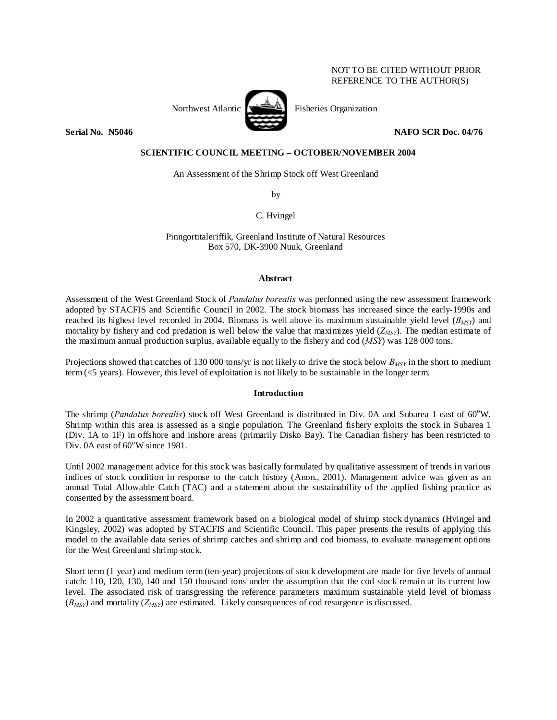# NOT TO BE CITED WITHOUT PRIOR REFERENCE TO THE AUTHOR(S)



Northwest Atlantic  $\left[\begin{array}{cc} \begin{array}{ccc} \begin{array}{ccc} \end{array} & \begin{array}{ccc} \end{array} & \end{array} & \begin{array}{ccc} \end{array} & \begin{array}{ccc} \end{array} & \end{array} & \begin{array}{ccc} \end{array} & \begin{array}{ccc} \end{array} & \end{array} & \begin{array}{ccc} \end{array} & \end{array} & \begin{array}{ccc} \end{array} & \begin{array}{ccc} \end{array} & \end{array} & \begin{array}{ccc} \end{array} & \begin{array}{ccc} \end{array} & \begin{array}{ccc} \end{array}$ 

**Serial No. 38, 1946** NAFO SCR Doc. 04/76 **NAFO SCR Doc.** 04/76

# **SCIENTIFIC COUNCIL MEETING – OCTOBER/NOVEMBER 2004**

An Assessment of the Shrimp Stock off West Greenland

by

C. Hvingel

Pinngortitaleriffik, Greenland Institute of Natural Resources Box 570, DK-3900 Nuuk, Greenland

## **Abstract**

Assessment of the West Greenland Stock of *Pandalus borealis* was performed using the new assessment framework adopted by STACFIS and Scientific Council in 2002. The stock biomass has increased since the early-1990s and reached its highest level recorded in 2004. Biomass is well above its maximum sustainable yield level  $(B_{MSY})$  and mortality by fishery and cod predation is well below the value that maximizes yield  $(Z_{MSY})$ . The median estimate of the maximum annual production surplus, available equally to the fishery and cod (*MSY*) was 128 000 tons.

Projections showed that catches of 130 000 tons/yr is not likely to drive the stock below  $B_{MSV}$  in the short to medium term (<5 years). However, this level of exploitation is not likely to be sustainable in the longer term.

## **Introduction**

The shrimp (*Pandalus borealis*) stock off West Greenland is distributed in Div. 0A and Subarea 1 east of 60°W. Shrimp within this area is assessed as a single population. The Greenland fishery exploits the stock in Subarea 1 (Div. 1A to 1F) in offshore and inshore areas (primarily Disko Bay). The Canadian fishery has been restricted to Div. 0A east of  $60^{\circ}$ W since 1981.

Until 2002 management advice for this stock was basically formulated by qualitative assessment of trends in various indices of stock condition in response to the catch history (Anon., 2001). Management advice was given as an annual Total Allowable Catch (TAC) and a statement about the sustainability of the applied fishing practice as consented by the assessment board.

In 2002 a quantitative assessment framework based on a biological model of shrimp stock dynamics (Hvingel and Kingsley, 2002) was adopted by STACFIS and Scientific Council. This paper presents the results of applying this model to the available data series of shrimp catches and shrimp and cod biomass, to evaluate management options for the West Greenland shrimp stock.

Short term (1 year) and medium term (ten-year) projections of stock development are made for five levels of annual catch: 110, 120, 130, 140 and 150 thousand tons under the assumption that the cod stock remain at its current low level. The associated risk of transgressing the reference parameters maximum sustainable yield level of biomass (*BMSY*) and mortality (*ZMSY*) are estimated. Likely consequences of cod resurgence is discussed.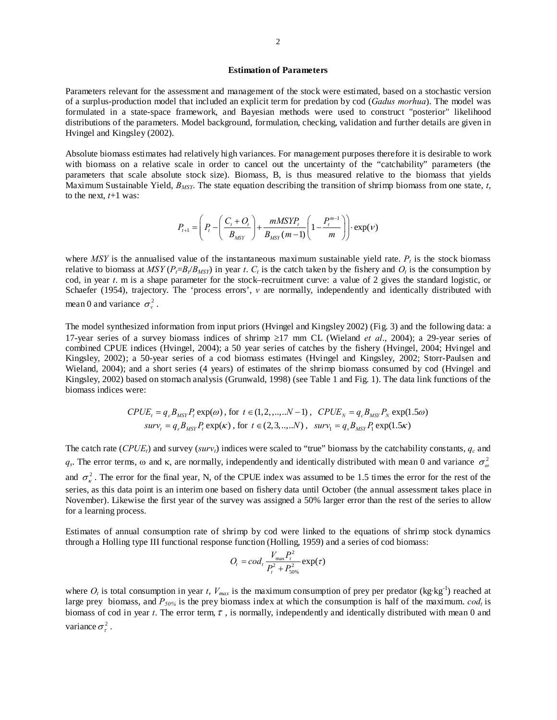## **Estimation of Parameters**

Parameters relevant for the assessment and management of the stock were estimated, based on a stochastic version of a surplus-production model that included an explicit term for predation by cod (*Gadus morhua*). The model was formulated in a state-space framework, and Bayesian methods were used to construct "posterior" likelihood distributions of the parameters. Model background, formulation, checking, validation and further details are given in Hvingel and Kingsley (2002).

Absolute biomass estimates had relatively high variances. For management purposes therefore it is desirable to work with biomass on a relative scale in order to cancel out the uncertainty of the "catchability" parameters (the parameters that scale absolute stock size). Biomass, B, is thus measured relative to the biomass that yields Maximum Sustainable Yield, *B<sub>MSY</sub>*. The state equation describing the transition of shrimp biomass from one state, *t*, to the next,  $t+1$  was:

$$
P_{t+1} = \left(P_t - \left(\frac{C_t + O_t}{B_{MSY}}\right) + \frac{mMSYP_t}{B_{MSY}(m-1)} \left(1 - \frac{P_t^{m-1}}{m}\right)\right) \cdot \exp(V)
$$

where *MSY* is the annualised value of the instantaneous maximum sustainable yield rate.  $P<sub>t</sub>$  is the stock biomass relative to biomass at  $MSY(P_t=B_t/B_{MSY})$  in year *t*.  $C_t$  is the catch taken by the fishery and  $O_t$  is the consumption by cod, in year *t*. m is a shape parameter for the stock–recruitment curve: a value of 2 gives the standard logistic, or Schaefer (1954), trajectory. The 'process errors', *v* are normally, independently and identically distributed with mean 0 and variance  $\sigma_v^2$ .

The model synthesized information from input priors (Hvingel and Kingsley 2002) (Fig. 3) and the following data: a 17-year series of a survey biomass indices of shrimp ≥17 mm CL (Wieland *et al*., 2004); a 29-year series of combined CPUE indices (Hvingel, 2004); a 50 year series of catches by the fishery (Hvingel, 2004; Hvingel and Kingsley, 2002); a 50-year series of a cod biomass estimates (Hvingel and Kingsley, 2002; Storr-Paulsen and Wieland, 2004); and a short series (4 years) of estimates of the shrimp biomass consumed by cod (Hvingel and Kingsley, 2002) based on stomach analysis (Grunwald, 1998) (see Table 1 and Fig. 1). The data link functions of the biomass indices were:

$$
CPUE_t = q_c B_{MSY} P_t \exp(\omega), \text{ for } t \in (1, 2, ..., N - 1), \quad CPUE_N = q_c B_{MSY} P_N \exp(1.5\omega)
$$
  

$$
surv_t = q_s B_{MSY} P_t \exp(\kappa), \text{ for } t \in (2, 3, ..., N), \quad surv_1 = q_s B_{MSY} P_t \exp(1.5\kappa)
$$

The catch rate (*CPUE<sub>t</sub>*) and survey (*surv<sub>t</sub>*) indices were scaled to "true" biomass by the catchability constants,  $q_c$  and  $q_s$ . The error terms,  $\omega$  and  $\kappa$ , are normally, independently and identically distributed with mean 0 and variance  $\sigma_{\omega}^2$ and  $\sigma_{\kappa}^2$ . The error for the final year, N, of the CPUE index was assumed to be 1.5 times the error for the rest of the series, as this data point is an interim one based on fishery data until October (the annual assessment takes place in November). Likewise the first year of the survey was assigned a 50% larger error than the rest of the series to allow for a learning process.

Estimates of annual consumption rate of shrimp by cod were linked to the equations of shrimp stock dynamics through a Holling type III functional response function (Holling, 1959) and a series of cod biomass:

$$
O_t = cod_t \frac{V_{\text{max}} P_t^2}{P_t^2 + P_{50\%}^2} \exp(\tau)
$$

where  $O_t$  is total consumption in year *t*,  $V_{max}$  is the maximum consumption of prey per predator (kg·kg<sup>-1</sup>) reached at large prey biomass, and  $P_{50\%}$  is the prey biomass index at which the consumption is half of the maximum. *cod<sub>t</sub>* is biomass of cod in year *t*. The error term,  $\tau$ , is normally, independently and identically distributed with mean 0 and variance  $\sigma^2$ .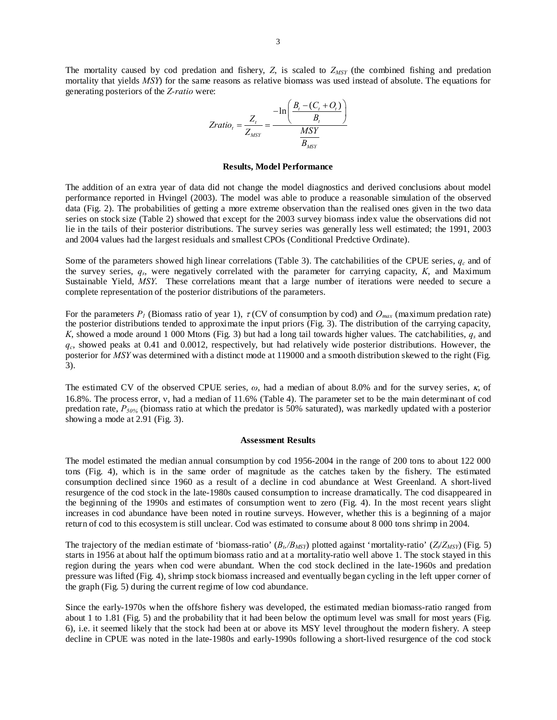The mortality caused by cod predation and fishery,  $Z$ , is scaled to  $Z_{MSY}$  (the combined fishing and predation mortality that yields *MSY*) for the same reasons as relative biomass was used instead of absolute. The equations for generating posteriors of the *Z-ratio* were:

$$
Zratio_{t} = \frac{Z_{t}}{Z_{MSY}} = \frac{-\ln\left(\frac{B_{t} - (C_{t} + O_{t})}{B_{t}}\right)}{\frac{MSY}{B_{MSY}}}
$$

#### **Results, Model Performance**

The addition of an extra year of data did not change the model diagnostics and derived conclusions about model performance reported in Hvingel (2003). The model was able to produce a reasonable simulation of the observed data (Fig. 2). The probabilities of getting a more extreme observation than the realised ones given in the two data series on stock size (Table 2) showed that except for the 2003 survey biomass index value the observations did not lie in the tails of their posterior distributions. The survey series was generally less well estimated; the 1991, 2003 and 2004 values had the largest residuals and smallest CPOs (Conditional Predctive Ordinate).

Some of the parameters showed high linear correlations (Table 3). The catchabilities of the CPUE series,  $q_c$  and of the survey series, *qs*, were negatively correlated with the parameter for carrying capacity, *K*, and Maximum Sustainable Yield, *MSY*. These correlations meant that a large number of iterations were needed to secure a complete representation of the posterior distributions of the parameters.

For the parameters  $P_l$  (Biomass ratio of year 1),  $\tau$  (CV of consumption by cod) and  $O_{max}$  (maximum predation rate) the posterior distributions tended to approximate the input priors (Fig. 3). The distribution of the carrying capacity, *K*, showed a mode around 1 000 Mtons (Fig. 3) but had a long tail towards higher values. The catchabilities, *qs* and *qc*, showed peaks at 0.41 and 0.0012, respectively, but had relatively wide posterior distributions. However, the posterior for *MSY* was determined with a distinct mode at 119000 and a smooth distribution skewed to the right (Fig. 3).

The estimated CV of the observed CPUE series, *ω*, had a median of about 8.0% and for the survey series, κ, of 16.8%. The process error, ν, had a median of 11.6% (Table 4). The parameter set to be the main determinant of cod predation rate, *P50%* (biomass ratio at which the predator is 50% saturated), was markedly updated with a posterior showing a mode at 2.91 (Fig. 3).

### **Assessment Results**

The model estimated the median annual consumption by cod 1956-2004 in the range of 200 tons to about 122 000 tons (Fig. 4), which is in the same order of magnitude as the catches taken by the fishery. The estimated consumption declined since 1960 as a result of a decline in cod abundance at West Greenland. A short-lived resurgence of the cod stock in the late-1980s caused consumption to increase dramatically. The cod disappeared in the beginning of the 1990s and estimates of consumption went to zero (Fig. 4). In the most recent years slight increases in cod abundance have been noted in routine surveys. However, whether this is a beginning of a major return of cod to this ecosystem is still unclear. Cod was estimated to consume about 8 000 tons shrimp in 2004.

The trajectory of the median estimate of 'biomass-ratio'  $(B_b/B_{MSY})$  plotted against 'mortality-ratio'  $(Z/Z_{MSY})$  (Fig. 5) starts in 1956 at about half the optimum biomass ratio and at a mortality-ratio well above 1. The stock stayed in this region during the years when cod were abundant. When the cod stock declined in the late-1960s and predation pressure was lifted (Fig. 4), shrimp stock biomass increased and eventually began cycling in the left upper corner of the graph (Fig. 5) during the current regime of low cod abundance.

Since the early-1970s when the offshore fishery was developed, the estimated median biomass-ratio ranged from about 1 to 1.81 (Fig. 5) and the probability that it had been below the optimum level was small for most years (Fig. 6), i.e. it seemed likely that the stock had been at or above its MSY level throughout the modern fishery. A steep decline in CPUE was noted in the late-1980s and early-1990s following a short-lived resurgence of the cod stock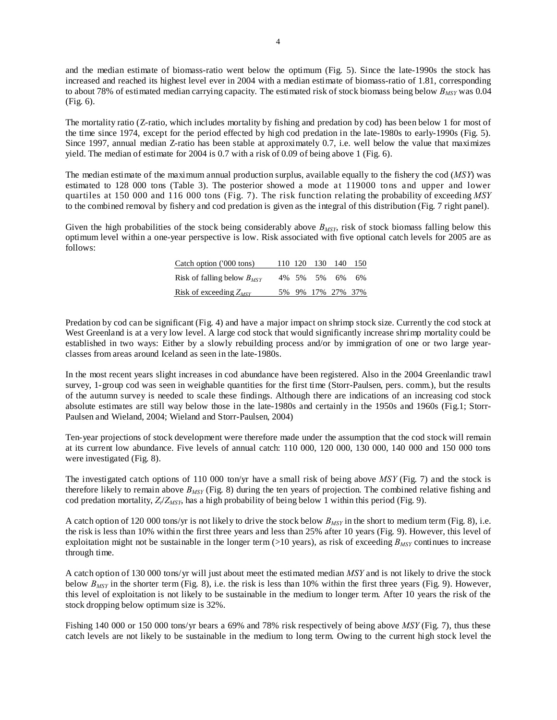and the median estimate of biomass-ratio went below the optimum (Fig. 5). Since the late-1990s the stock has increased and reached its highest level ever in 2004 with a median estimate of biomass-ratio of 1.81, corresponding to about 78% of estimated median carrying capacity. The estimated risk of stock biomass being below  $B_{MST}$  was 0.04 (Fig. 6).

The mortality ratio (Z-ratio, which includes mortality by fishing and predation by cod) has been below 1 for most of the time since 1974, except for the period effected by high cod predation in the late-1980s to early-1990s (Fig. 5). Since 1997, annual median Z-ratio has been stable at approximately 0.7, i.e. well below the value that maximizes yield. The median of estimate for 2004 is 0.7 with a risk of 0.09 of being above 1 (Fig. 6).

The median estimate of the maximum annual production surplus, available equally to the fishery the cod (*MSY*) was estimated to 128 000 tons (Table 3). The posterior showed a mode at 119000 tons and upper and lower quartiles at 150 000 and 116 000 tons (Fig. 7). The risk function relating the probability of exceeding *MSY* to the combined removal by fishery and cod predation is given as the integral of this distribution (Fig. 7 right panel).

Given the high probabilities of the stock being considerably above  $B_{MSY}$ , risk of stock biomass falling below this optimum level within a one-year perspective is low. Risk associated with five optional catch levels for 2005 are as follows:

| Catch option ('000 tons)        |  |          | 110 120 130 140   | 150 |
|---------------------------------|--|----------|-------------------|-----|
| Risk of falling below $B_{MSV}$ |  | 4% 5% 5% | 6%                | 6%  |
| Risk of exceeding $Z_{MSV}$     |  |          | 5% 9% 17% 27% 37% |     |

Predation by cod can be significant (Fig. 4) and have a major impact on shrimp stock size. Currently the cod stock at West Greenland is at a very low level. A large cod stock that would significantly increase shrimp mortality could be established in two ways: Either by a slowly rebuilding process and/or by immigration of one or two large yearclasses from areas around Iceland as seen in the late-1980s.

In the most recent years slight increases in cod abundance have been registered. Also in the 2004 Greenlandic trawl survey, 1-group cod was seen in weighable quantities for the first time (Storr-Paulsen, pers. comm.), but the results of the autumn survey is needed to scale these findings. Although there are indications of an increasing cod stock absolute estimates are still way below those in the late-1980s and certainly in the 1950s and 1960s (Fig.1; Storr-Paulsen and Wieland, 2004; Wieland and Storr-Paulsen, 2004)

Ten-year projections of stock development were therefore made under the assumption that the cod stock will remain at its current low abundance. Five levels of annual catch: 110 000, 120 000, 130 000, 140 000 and 150 000 tons were investigated (Fig. 8).

The investigated catch options of 110 000 ton/yr have a small risk of being above *MSY* (Fig. 7) and the stock is therefore likely to remain above  $B_{MSY}$  (Fig. 8) during the ten years of projection. The combined relative fishing and cod predation mortality,  $Z_t/Z_{MSY}$ , has a high probability of being below 1 within this period (Fig. 9).

A catch option of 120 000 tons/yr is not likely to drive the stock below *BMSY* in the short to medium term (Fig. 8), i.e. the risk is less than 10% within the first three years and less than 25% after 10 years (Fig. 9). However, this level of exploitation might not be sustainable in the longer term  $(>10$  years), as risk of exceeding  $B_{MSY}$  continues to increase through time.

A catch option of 130 000 tons/yr will just about meet the estimated median *MSY* and is not likely to drive the stock below *BMSY* in the shorter term (Fig. 8), i.e. the risk is less than 10% within the first three years (Fig. 9). However, this level of exploitation is not likely to be sustainable in the medium to longer term. After 10 years the risk of the stock dropping below optimum size is 32%.

Fishing 140 000 or 150 000 tons/yr bears a 69% and 78% risk respectively of being above *MSY* (Fig. 7), thus these catch levels are not likely to be sustainable in the medium to long term. Owing to the current high stock level the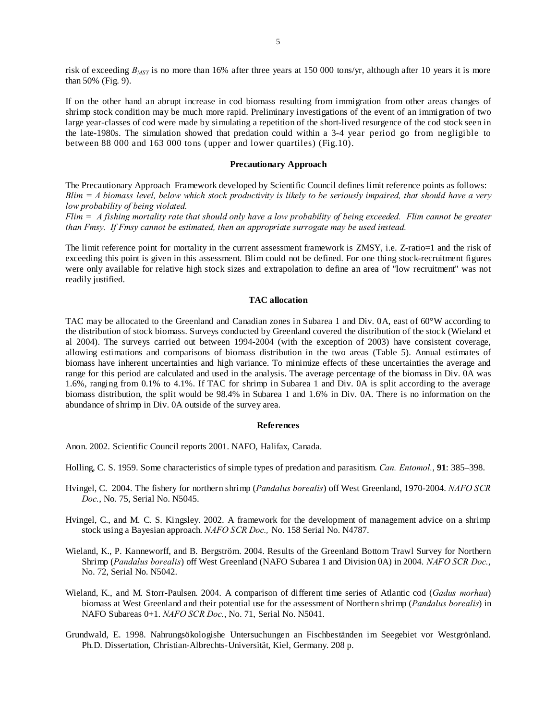risk of exceeding *BMSY* is no more than 16% after three years at 150 000 tons/yr, although after 10 years it is more than 50% (Fig. 9).

If on the other hand an abrupt increase in cod biomass resulting from immigration from other areas changes of shrimp stock condition may be much more rapid. Preliminary investigations of the event of an immigration of two large year-classes of cod were made by simulating a repetition of the short-lived resurgence of the cod stock seen in the late-1980s. The simulation showed that predation could within a 3-4 year period go from negligible to between 88 000 and 163 000 tons (upper and lower quartiles) (Fig.10).

## **Precautionary Approach**

The Precautionary Approach Framework developed by Scientific Council defines limit reference points as follows: *Blim = A biomass level, below which stock productivity is likely to be seriously impaired, that should have a very low probability of being violated.* 

*Flim = A fishing mortality rate that should only have a low probability of being exceeded. Flim cannot be greater than Fmsy. If Fmsy cannot be estimated, then an appropriate surrogate may be used instead.* 

The limit reference point for mortality in the current assessment framework is ZMSY, i.e. Z-ratio=1 and the risk of exceeding this point is given in this assessment. Blim could not be defined. For one thing stock-recruitment figures were only available for relative high stock sizes and extrapolation to define an area of "low recruitment" was not readily justified.

## **TAC allocation**

TAC may be allocated to the Greenland and Canadian zones in Subarea 1 and Div. 0A, east of 60°W according to the distribution of stock biomass. Surveys conducted by Greenland covered the distribution of the stock (Wieland et al 2004). The surveys carried out between 1994-2004 (with the exception of 2003) have consistent coverage, allowing estimations and comparisons of biomass distribution in the two areas (Table 5). Annual estimates of biomass have inherent uncertainties and high variance. To minimize effects of these uncertainties the average and range for this period are calculated and used in the analysis. The average percentage of the biomass in Div. 0A was 1.6%, ranging from 0.1% to 4.1%. If TAC for shrimp in Subarea 1 and Div. 0A is split according to the average biomass distribution, the split would be 98.4% in Subarea 1 and 1.6% in Div. 0A. There is no information on the abundance of shrimp in Div. 0A outside of the survey area.

### **References**

Anon. 2002. Scientific Council reports 2001. NAFO, Halifax, Canada.

- Holling, C. S. 1959. Some characteristics of simple types of predation and parasitism. *Can. Entomol.*, **91**: 385–398.
- Hvingel, C. 2004. The fishery for northern shrimp (*Pandalus borealis*) off West Greenland, 1970-2004. *NAFO SCR Doc.*, No. 75, Serial No. N5045.
- Hvingel, C., and M. C. S. Kingsley. 2002. A framework for the development of management advice on a shrimp stock using a Bayesian approach. *NAFO SCR Doc.,* No. 158 Serial No. N4787.
- Wieland, K., P. Kanneworff, and B. Bergström. 2004. Results of the Greenland Bottom Trawl Survey for Northern Shrimp (*Pandalus borealis*) off West Greenland (NAFO Subarea 1 and Division 0A) in 2004. *NAFO SCR Doc.*, No. 72, Serial No. N5042.
- Wieland, K., and M. Storr-Paulsen. 2004. A comparison of different time series of Atlantic cod (*Gadus morhua*) biomass at West Greenland and their potential use for the assessment of Northern shrimp (*Pandalus borealis*) in NAFO Subareas 0+1. *NAFO SCR Doc.*, No. 71, Serial No. N5041.
- Grundwald, E. 1998. Nahrungsökologishe Untersuchungen an Fischbeständen im Seegebiet vor Westgrönland. Ph.D. Dissertation, Christian-Albrechts-Universität, Kiel, Germany. 208 p.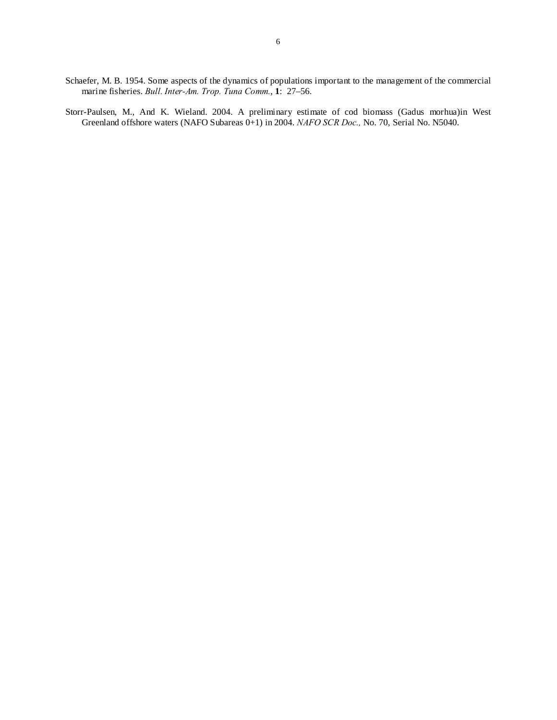Schaefer, M. B. 1954. Some aspects of the dynamics of populations important to the management of the commercial marine fisheries. *Bull. Inter-Am. Trop. Tuna Comm.*, **1**: 27–56.

Storr-Paulsen, M., And K. Wieland. 2004. A preliminary estimate of cod biomass (Gadus morhua)in West Greenland offshore waters (NAFO Subareas 0+1) in 2004. *NAFO SCR Doc.,* No. 70, Serial No. N5040.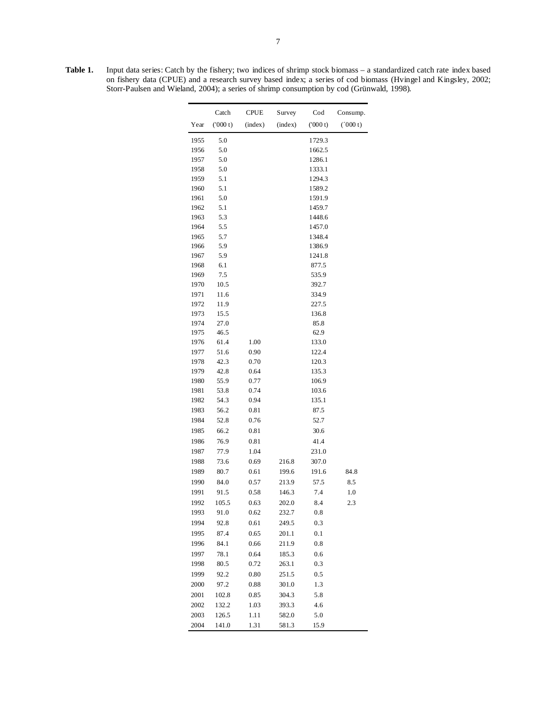**Table 1.** Input data series: Catch by the fishery; two indices of shrimp stock biomass – a standardized catch rate index based on fishery data (CPUE) and a research survey based index; a series of cod biomass (Hvingel and Kingsley, 2002; Storr-Paulsen and Wieland, 2004); a series of shrimp consumption by cod (Grünwald, 1998).

|      | Catch   | CPUE    | Survey  | Cod      | Consump. |
|------|---------|---------|---------|----------|----------|
| Year | (000 t) | (index) | (index) | (000 t)  | (000 t)  |
| 1955 | 5.0     |         |         | 1729.3   |          |
| 1956 | 5.0     |         |         | 1662.5   |          |
| 1957 | 5.0     |         |         | 1286.1   |          |
| 1958 | 5.0     |         |         | 1333.1   |          |
| 1959 | 5.1     |         |         | 1294.3   |          |
| 1960 | 5.1     |         |         | 1589.2   |          |
| 1961 | 5.0     |         |         | 1591.9   |          |
| 1962 | 5.1     |         |         | 1459.7   |          |
| 1963 | 5.3     |         |         | 1448.6   |          |
| 1964 | 5.5     |         |         | 1457.0   |          |
| 1965 | 5.7     |         |         | 1348.4   |          |
| 1966 | 5.9     |         |         | 1386.9   |          |
| 1967 | 5.9     |         |         | 1241.8   |          |
| 1968 | 6.1     |         |         | 877.5    |          |
| 1969 | 7.5     |         |         | 535.9    |          |
| 1970 | 10.5    |         |         | 392.7    |          |
| 1971 | 11.6    |         |         | 334.9    |          |
| 1972 | 11.9    |         |         | 227.5    |          |
| 1973 | 15.5    |         |         | 136.8    |          |
| 1974 | 27.0    |         |         | 85.8     |          |
| 1975 | 46.5    |         |         | 62.9     |          |
| 1976 | 61.4    | 1.00    |         | 133.0    |          |
| 1977 | 51.6    | 0.90    |         | 122.4    |          |
| 1978 | 42.3    | 0.70    |         | 120.3    |          |
| 1979 | 42.8    | 0.64    |         | 135.3    |          |
| 1980 | 55.9    | 0.77    |         | 106.9    |          |
| 1981 | 53.8    | 0.74    |         | 103.6    |          |
| 1982 | 54.3    | 0.94    |         | 135.1    |          |
|      | 56.2    |         |         | 87.5     |          |
| 1983 |         | 0.81    |         |          |          |
| 1984 | 52.8    | 0.76    |         | 52.7     |          |
| 1985 | 66.2    | 0.81    |         | 30.6     |          |
| 1986 | 76.9    | 0.81    |         | 41.4     |          |
| 1987 | 77.9    | 1.04    |         | 231.0    |          |
| 1988 | 73.6    | 0.69    | 216.8   | 307.0    |          |
| 1989 | 80.7    | 0.61    | 199.6   | 191.6    | 84.8     |
| 1990 | 84.0    | 0.57    | 213.9   | 57.5     | 8.5      |
| 1991 | 91.5    | 0.58    | 146.3   | 7.4      | 1.0      |
| 1992 | 105.5   | 0.63    | 202.0   | 8.4      | 2.3      |
| 1993 | 91.0    | 0.62    | 232.7   | $_{0.8}$ |          |
| 1994 | 92.8    | 0.61    | 249.5   | 0.3      |          |
| 1995 | 87.4    | 0.65    | 201.1   | 0.1      |          |
| 1996 | 84.1    | 0.66    | 211.9   | 0.8      |          |
| 1997 | 78.1    | 0.64    | 185.3   | 0.6      |          |
| 1998 | 80.5    | 0.72    | 263.1   | 0.3      |          |
|      |         |         |         |          |          |
| 1999 | 92.2    | 0.80    | 251.5   | 0.5      |          |
| 2000 | 97.2    | 0.88    | 301.0   | 1.3      |          |
| 2001 | 102.8   | 0.85    | 304.3   | 5.8      |          |
| 2002 | 132.2   | 1.03    | 393.3   | 4.6      |          |
| 2003 | 126.5   | 1.11    | 582.0   | 5.0      |          |
| 2004 | 141.0   | 1.31    | 581.3   | 15.9     |          |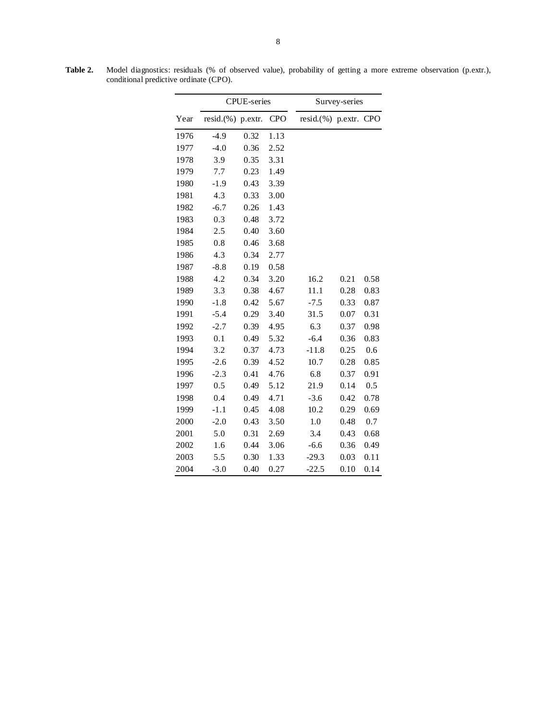|      |                   | <b>CPUE-series</b> |            | Survey-series     |      |            |  |  |  |
|------|-------------------|--------------------|------------|-------------------|------|------------|--|--|--|
| Year | resid.(%) p.extr. |                    | <b>CPO</b> | resid.(%) p.extr. |      | <b>CPO</b> |  |  |  |
| 1976 | $-4.9$            | 0.32               | 1.13       |                   |      |            |  |  |  |
| 1977 | $-4.0$            | 0.36               | 2.52       |                   |      |            |  |  |  |
| 1978 | 3.9               | 0.35               | 3.31       |                   |      |            |  |  |  |
| 1979 | 7.7               | 0.23               | 1.49       |                   |      |            |  |  |  |
| 1980 | $-1.9$            | 0.43               | 3.39       |                   |      |            |  |  |  |
| 1981 | 4.3               | 0.33               | 3.00       |                   |      |            |  |  |  |
| 1982 | $-6.7$            | 0.26               | 1.43       |                   |      |            |  |  |  |
| 1983 | 0.3               | 0.48               | 3.72       |                   |      |            |  |  |  |
| 1984 | 2.5               | 0.40               | 3.60       |                   |      |            |  |  |  |
| 1985 | 0.8               | 0.46               | 3.68       |                   |      |            |  |  |  |
| 1986 | 4.3               | 0.34               | 2.77       |                   |      |            |  |  |  |
| 1987 | $-8.8$            | 0.19               | 0.58       |                   |      |            |  |  |  |
| 1988 | 4.2               | 0.34               | 3.20       | 16.2              | 0.21 | 0.58       |  |  |  |
| 1989 | 3.3               | 0.38               | 4.67       | 11.1              | 0.28 | 0.83       |  |  |  |
| 1990 | $-1.8$            | 0.42               | 5.67       | $-7.5$            | 0.33 | 0.87       |  |  |  |
| 1991 | $-5.4$            | 0.29               | 3.40       | 31.5              | 0.07 | 0.31       |  |  |  |
| 1992 | $-2.7$            | 0.39               | 4.95       | 6.3               | 0.37 | 0.98       |  |  |  |
| 1993 | 0.1               | 0.49               | 5.32       | $-6.4$            | 0.36 | 0.83       |  |  |  |
| 1994 | 3.2               | 0.37               | 4.73       | $-11.8$           | 0.25 | 0.6        |  |  |  |
| 1995 | $-2.6$            | 0.39               | 4.52       | 10.7              | 0.28 | 0.85       |  |  |  |
| 1996 | $-2.3$            | 0.41               | 4.76       | 6.8               | 0.37 | 0.91       |  |  |  |
| 1997 | 0.5               | 0.49               | 5.12       | 21.9              | 0.14 | 0.5        |  |  |  |
| 1998 | 0.4               | 0.49               | 4.71       | $-3.6$            | 0.42 | 0.78       |  |  |  |
| 1999 | $-1.1$            | 0.45               | 4.08       | 10.2              | 0.29 | 0.69       |  |  |  |
| 2000 | $-2.0$            | 0.43               | 3.50       | 1.0               | 0.48 | 0.7        |  |  |  |
| 2001 | 5.0               | 0.31               | 2.69       | 3.4               | 0.43 | 0.68       |  |  |  |
| 2002 | 1.6               | 0.44               | 3.06       | $-6.6$            | 0.36 | 0.49       |  |  |  |
| 2003 | 5.5               | 0.30               | 1.33       | $-29.3$           | 0.03 | 0.11       |  |  |  |
| 2004 | $-3.0$            | 0.40               | 0.27       | $-22.5$           | 0.10 | 0.14       |  |  |  |

**Table 2.** Model diagnostics: residuals (% of observed value), probability of getting a more extreme observation (p.extr.), conditional predictive ordinate (CPO).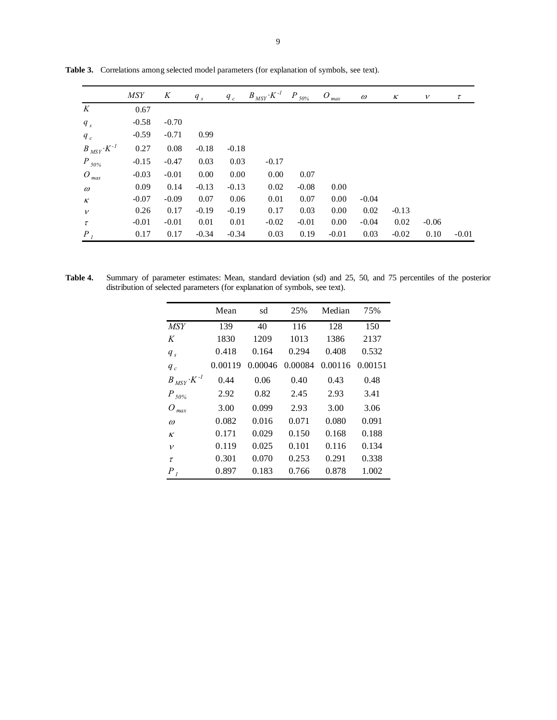|                           | <b>MSY</b> | K       | $q_{s}$ | $q_c$   | $B_{\overline{MSY}}\cdot K^{-1}$ | $P_{50\%}$ | $O_{max}$ | $\omega$ | κ       | $\boldsymbol{\mathcal{V}}$ | $\tau$  |
|---------------------------|------------|---------|---------|---------|----------------------------------|------------|-----------|----------|---------|----------------------------|---------|
| K                         | 0.67       |         |         |         |                                  |            |           |          |         |                            |         |
| $q_{s}$                   | $-0.58$    | $-0.70$ |         |         |                                  |            |           |          |         |                            |         |
| $q_c$                     | $-0.59$    | $-0.71$ | 0.99    |         |                                  |            |           |          |         |                            |         |
| $B_{MSY} \cdot K^{-1}$    | 0.27       | 0.08    | $-0.18$ | $-0.18$ |                                  |            |           |          |         |                            |         |
| $P_{50\%}$                | $-0.15$    | $-0.47$ | 0.03    | 0.03    | $-0.17$                          |            |           |          |         |                            |         |
| $O_{max}$                 | $-0.03$    | $-0.01$ | 0.00    | 0.00    | 0.00                             | 0.07       |           |          |         |                            |         |
| $\omega$                  | 0.09       | 0.14    | $-0.13$ | $-0.13$ | 0.02                             | $-0.08$    | 0.00      |          |         |                            |         |
| $\boldsymbol{\mathit{K}}$ | $-0.07$    | $-0.09$ | 0.07    | 0.06    | 0.01                             | 0.07       | 0.00      | $-0.04$  |         |                            |         |
| $\boldsymbol{\nu}$        | 0.26       | 0.17    | $-0.19$ | $-0.19$ | 0.17                             | 0.03       | 0.00      | 0.02     | $-0.13$ |                            |         |
| $\tau$                    | $-0.01$    | $-0.01$ | 0.01    | 0.01    | $-0.02$                          | $-0.01$    | 0.00      | $-0.04$  | 0.02    | $-0.06$                    |         |
| $P_{l}$                   | 0.17       | 0.17    | $-0.34$ | $-0.34$ | 0.03                             | 0.19       | $-0.01$   | 0.03     | $-0.02$ | 0.10                       | $-0.01$ |

**Table 3.** Correlations among selected model parameters (for explanation of symbols, see text).

| Table 4. | Summary of parameter estimates: Mean, standard deviation (sd) and 25, 50, and 75 percentiles of the posterior |  |  |  |  |  |
|----------|---------------------------------------------------------------------------------------------------------------|--|--|--|--|--|
|          | distribution of selected parameters (for explanation of symbols, see text).                                   |  |  |  |  |  |

|                        | Mean    | sd      | 25%     | Median  | 75%     |
|------------------------|---------|---------|---------|---------|---------|
| <i>MSY</i>             | 139     | 40      | 116     | 128     | 150     |
| K                      | 1830    | 1209    | 1013    | 1386    | 2137    |
| $q_{s}$                | 0.418   | 0.164   | 0.294   | 0.408   | 0.532   |
| $q_c$                  | 0.00119 | 0.00046 | 0.00084 | 0.00116 | 0.00151 |
| $B_{MSY} \cdot K^{-1}$ | 0.44    | 0.06    | 0.40    | 0.43    | 0.48    |
| $P_{50\%}$             | 2.92    | 0.82    | 2.45    | 2.93    | 3.41    |
| O)<br>max              | 3.00    | 0.099   | 2.93    | 3.00    | 3.06    |
| $\omega$               | 0.082   | 0.016   | 0.071   | 0.080   | 0.091   |
| $\kappa$               | 0.171   | 0.029   | 0.150   | 0.168   | 0.188   |
| $\mathcal V$           | 0.119   | 0.025   | 0.101   | 0.116   | 0.134   |
| $\tau$                 | 0.301   | 0.070   | 0.253   | 0.291   | 0.338   |
| $P_{l}$                | 0.897   | 0.183   | 0.766   | 0.878   | 1.002   |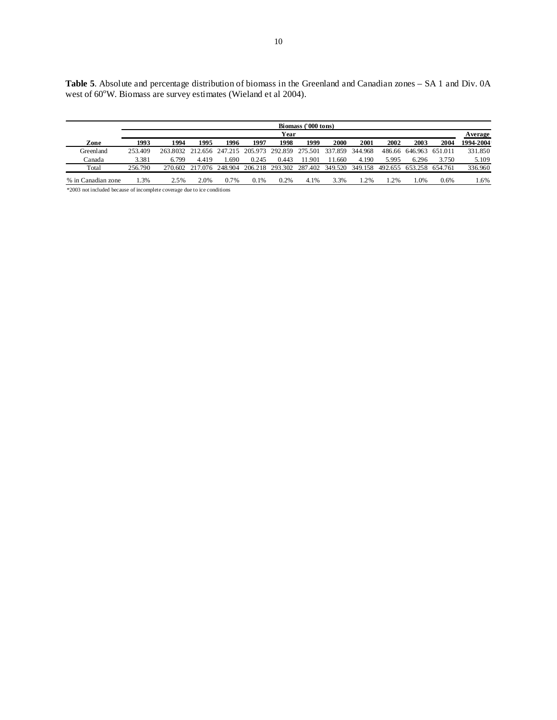| Table 5. Absolute and percentage distribution of biomass in the Greenland and Canadian zones – SA 1 and Div. 0A |  |
|-----------------------------------------------------------------------------------------------------------------|--|
| west of 60 <sup>o</sup> W. Biomass are survey estimates (Wieland et al 2004).                                   |  |

|                    | Biomass ('000 tons) |                                          |                 |         |       |                                 |                 |        |             |         |                         |       |           |
|--------------------|---------------------|------------------------------------------|-----------------|---------|-------|---------------------------------|-----------------|--------|-------------|---------|-------------------------|-------|-----------|
|                    | Year                |                                          |                 |         |       |                                 |                 |        |             | Average |                         |       |           |
| Zone               | 1993                | 1994                                     | 1995            | 1996    | 1997  | 1998                            | 1999            | 2000   | <b>2001</b> | 2002    | 2003                    | 2004  | 1994-2004 |
| Greenland          | 253.409             | 263.8032 212.656 247.215 205.973 292.859 |                 |         |       |                                 | 275.501 337.859 |        | 344.968     |         | 486.66 646.963 651.011  |       | 331.850   |
| Canada             | 3.381               | 6.799                                    | 4.419           | .690    | 0.245 | 0.443                           | 11.901          | 11.660 | 4.190       | 5.995   | 6.296                   | 3.750 | 5.109     |
| Total              | 256.790             |                                          | 270.602 217.076 | 248.904 |       | 206.218 293.302 287.402 349.520 |                 |        | 349.158     |         | 492.655 653.258 654.761 |       | 336.960   |
| % in Canadian zone | 1.3%                | 2.5%                                     | 2.0%            | $0.7\%$ | 0.1%  | 0.2%                            | 4.1%            | 3.3%   | $1.2\%$     | $.2\%$  | 1.0%                    | 0.6%  | l .6%     |

\*2003 not included because of incomplete coverage due to ice conditions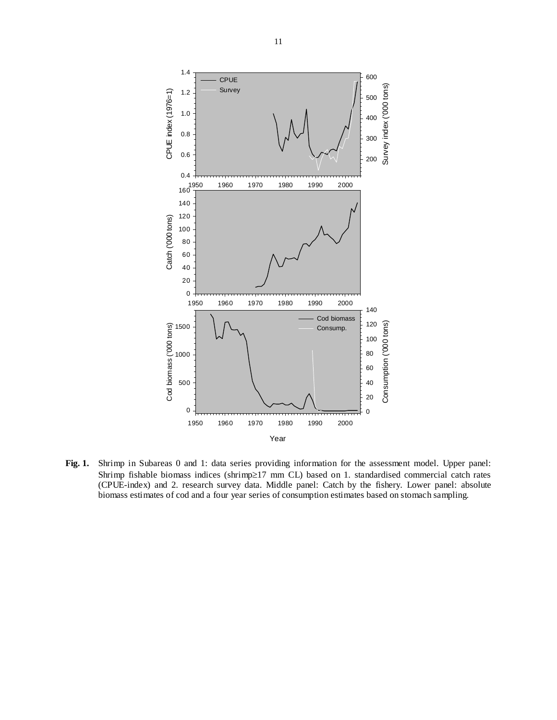

**Fig. 1.** Shrimp in Subareas 0 and 1: data series providing information for the assessment model. Upper panel: Shrimp fishable biomass indices (shrimp≥17 mm CL) based on 1. standardised commercial catch rates (CPUE-index) and 2. research survey data. Middle panel: Catch by the fishery. Lower panel: absolute biomass estimates of cod and a four year series of consumption estimates based on stomach sampling.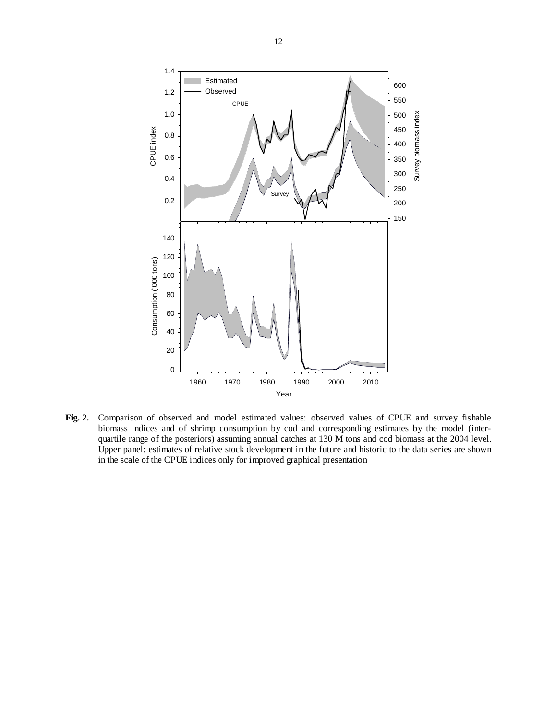

**Fig. 2.** Comparison of observed and model estimated values: observed values of CPUE and survey fishable biomass indices and of shrimp consumption by cod and corresponding estimates by the model (interquartile range of the posteriors) assuming annual catches at 130 M tons and cod biomass at the 2004 level. Upper panel: estimates of relative stock development in the future and historic to the data series are shown in the scale of the CPUE indices only for improved graphical presentation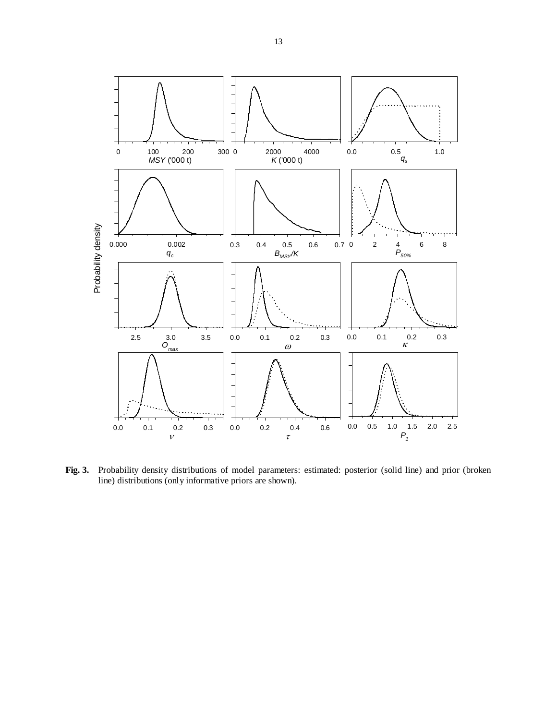

**Fig. 3.** Probability density distributions of model parameters: estimated: posterior (solid line) and prior (broken line) distributions (only informative priors are shown).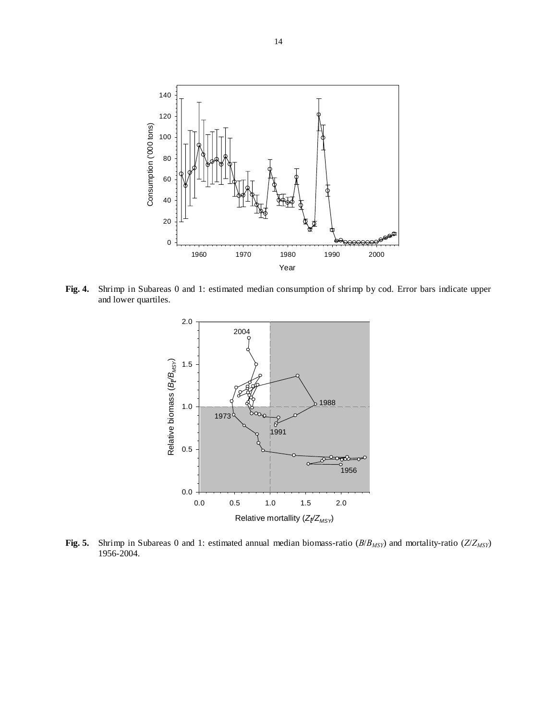

**Fig. 4.** Shrimp in Subareas 0 and 1: estimated median consumption of shrimp by cod. Error bars indicate upper and lower quartiles.



**Fig. 5.** Shrimp in Subareas 0 and 1: estimated annual median biomass-ratio (*B*/*BMSY*) and mortality-ratio (*Z*/*ZMSY*) 1956-2004.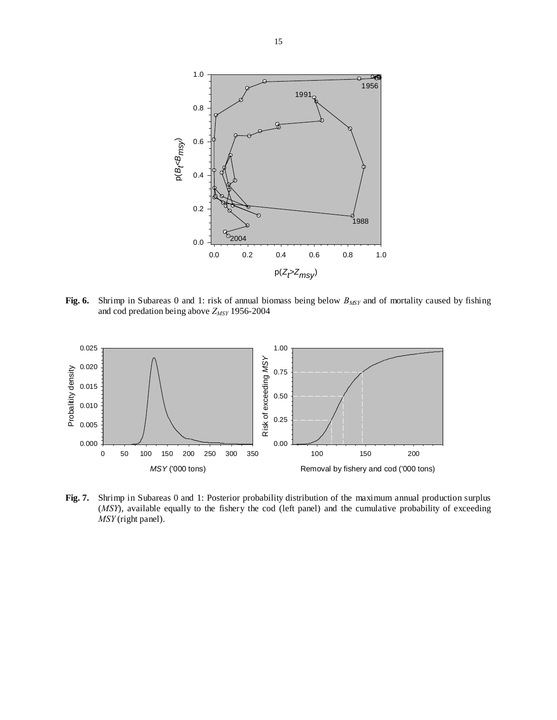

**Fig. 6.** Shrimp in Subareas 0 and 1: risk of annual biomass being below  $B_{MSY}$  and of mortality caused by fishing and cod predation being above *ZMSY* 1956-2004



**Fig. 7.** Shrimp in Subareas 0 and 1: Posterior probability distribution of the maximum annual production surplus (*MSY*), available equally to the fishery the cod (left panel) and the cumulative probability of exceeding *MSY* (right panel).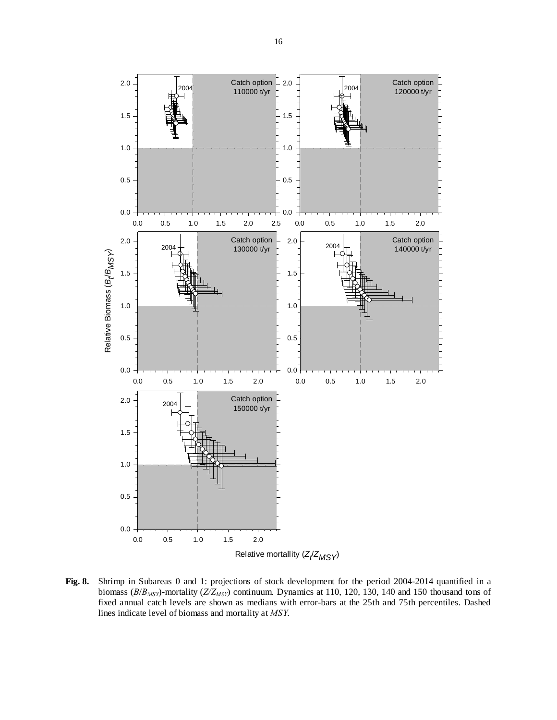

**Fig. 8.** Shrimp in Subareas 0 and 1: projections of stock development for the period 2004-2014 quantified in a biomass (*B*/*BMSY*)-mortality (*Z/ZMSY*) continuum. Dynamics at 110, 120, 130, 140 and 150 thousand tons of fixed annual catch levels are shown as medians with error-bars at the 25th and 75th percentiles. Dashed lines indicate level of biomass and mortality at *MSY*.